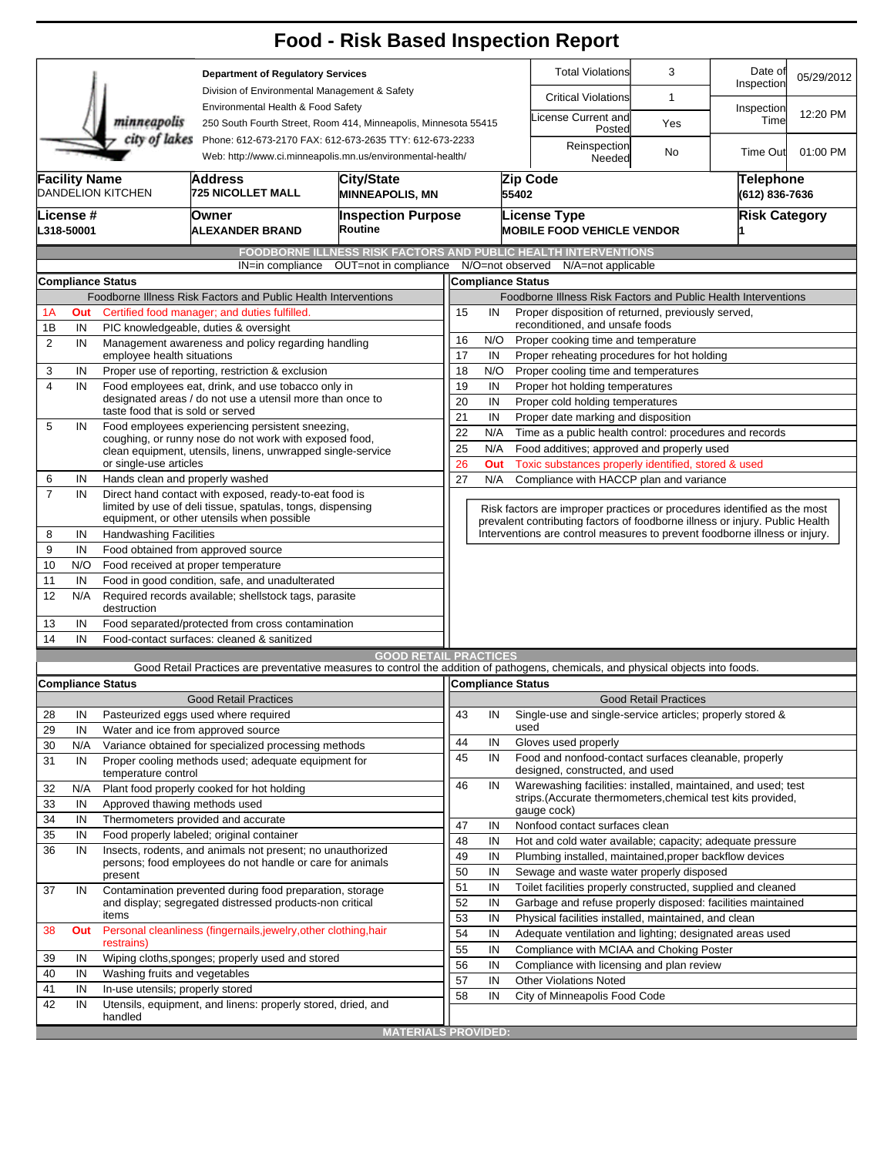|                                                                                                                                        |                                                          |                                                                                                                       |                                                                                                                                   | <b>Food - Risk Based Inspection Report</b>                     |                                                      |                                                                                          |                                                                                                                                 |                                                                                             |                                    |                       |            |  |  |  |  |
|----------------------------------------------------------------------------------------------------------------------------------------|----------------------------------------------------------|-----------------------------------------------------------------------------------------------------------------------|-----------------------------------------------------------------------------------------------------------------------------------|----------------------------------------------------------------|------------------------------------------------------|------------------------------------------------------------------------------------------|---------------------------------------------------------------------------------------------------------------------------------|---------------------------------------------------------------------------------------------|------------------------------------|-----------------------|------------|--|--|--|--|
|                                                                                                                                        |                                                          |                                                                                                                       | <b>Department of Regulatory Services</b>                                                                                          |                                                                |                                                      |                                                                                          |                                                                                                                                 | <b>Total Violations</b>                                                                     | 3                                  | Date of<br>Inspection | 05/29/2012 |  |  |  |  |
|                                                                                                                                        |                                                          |                                                                                                                       | Division of Environmental Management & Safety                                                                                     |                                                                |                                                      |                                                                                          |                                                                                                                                 | <b>Critical Violations</b>                                                                  | 1                                  |                       |            |  |  |  |  |
|                                                                                                                                        |                                                          | minneapolis                                                                                                           | Environmental Health & Food Safety<br>250 South Fourth Street, Room 414, Minneapolis, Minnesota 55415                             |                                                                |                                                      |                                                                                          |                                                                                                                                 | icense Current and<br>Posted                                                                | Yes                                | Inspection<br>Time    | 12:20 PM   |  |  |  |  |
| city of lakes<br>Phone: 612-673-2170 FAX: 612-673-2635 TTY: 612-673-2233<br>Web: http://www.ci.minneapolis.mn.us/environmental-health/ |                                                          |                                                                                                                       |                                                                                                                                   |                                                                |                                                      |                                                                                          |                                                                                                                                 | Reinspection<br>Needed                                                                      | No                                 | <b>Time Out</b>       | 01:00 PM   |  |  |  |  |
|                                                                                                                                        | <b>Facility Name</b>                                     | DANDELION KITCHEN                                                                                                     | Address<br><b>725 NICOLLET MALL</b>                                                                                               | City/State<br><b>MINNEAPOLIS, MN</b>                           | 55402                                                |                                                                                          |                                                                                                                                 | Zip Code                                                                                    | <b>Telephone</b><br>(612) 836-7636 |                       |            |  |  |  |  |
|                                                                                                                                        | License #<br>L318-50001                                  |                                                                                                                       | Owner<br><b>ALEXANDER BRAND</b>                                                                                                   | <b>Inspection Purpose</b><br>Routine                           |                                                      |                                                                                          |                                                                                                                                 | License Type<br><b>MOBILE FOOD VEHICLE VENDOR</b>                                           |                                    | <b>Risk Category</b>  |            |  |  |  |  |
|                                                                                                                                        |                                                          |                                                                                                                       |                                                                                                                                   | FOODBORNE ILLNESS RISK FACTORS AND PUBLIC HEALTH INTERVENTIONS |                                                      |                                                                                          |                                                                                                                                 |                                                                                             |                                    |                       |            |  |  |  |  |
|                                                                                                                                        |                                                          |                                                                                                                       | IN=in compliance                                                                                                                  | OUT=not in compliance                                          |                                                      |                                                                                          |                                                                                                                                 | N/O=not observed<br>N/A=not applicable                                                      |                                    |                       |            |  |  |  |  |
|                                                                                                                                        |                                                          | <b>Compliance Status</b>                                                                                              |                                                                                                                                   |                                                                | <b>Compliance Status</b>                             |                                                                                          |                                                                                                                                 |                                                                                             |                                    |                       |            |  |  |  |  |
|                                                                                                                                        |                                                          |                                                                                                                       | Foodborne Illness Risk Factors and Public Health Interventions                                                                    |                                                                |                                                      |                                                                                          |                                                                                                                                 | Foodborne Illness Risk Factors and Public Health Interventions                              |                                    |                       |            |  |  |  |  |
| Certified food manager; and duties fulfilled.<br>1A<br>Out                                                                             |                                                          |                                                                                                                       |                                                                                                                                   |                                                                |                                                      |                                                                                          | Proper disposition of returned, previously served,<br>15<br>IN                                                                  |                                                                                             |                                    |                       |            |  |  |  |  |
| 1B                                                                                                                                     | IN<br>PIC knowledgeable, duties & oversight              |                                                                                                                       |                                                                                                                                   |                                                                |                                                      | reconditioned, and unsafe foods                                                          |                                                                                                                                 |                                                                                             |                                    |                       |            |  |  |  |  |
| 2                                                                                                                                      | IN<br>Management awareness and policy regarding handling |                                                                                                                       |                                                                                                                                   |                                                                | 16<br>N/O<br>Proper cooking time and temperature     |                                                                                          |                                                                                                                                 |                                                                                             |                                    |                       |            |  |  |  |  |
|                                                                                                                                        | employee health situations                               |                                                                                                                       |                                                                                                                                   |                                                                |                                                      |                                                                                          | 17<br>Proper reheating procedures for hot holding<br>IN                                                                         |                                                                                             |                                    |                       |            |  |  |  |  |
| 3                                                                                                                                      | IN                                                       |                                                                                                                       | Proper use of reporting, restriction & exclusion                                                                                  |                                                                | 18                                                   | N/O                                                                                      |                                                                                                                                 | Proper cooling time and temperatures                                                        |                                    |                       |            |  |  |  |  |
| $\overline{\mathbf{4}}$                                                                                                                | IN                                                       | Food employees eat, drink, and use tobacco only in<br>designated areas / do not use a utensil more than once to       |                                                                                                                                   |                                                                |                                                      |                                                                                          | 19<br>IN<br>Proper hot holding temperatures                                                                                     |                                                                                             |                                    |                       |            |  |  |  |  |
|                                                                                                                                        |                                                          | taste food that is sold or served                                                                                     | 20<br>IN<br>Proper cold holding temperatures                                                                                      |                                                                |                                                      |                                                                                          |                                                                                                                                 |                                                                                             |                                    |                       |            |  |  |  |  |
| 5                                                                                                                                      | IN                                                       |                                                                                                                       | Food employees experiencing persistent sneezing,                                                                                  | 21<br>IN<br>Proper date marking and disposition                |                                                      |                                                                                          |                                                                                                                                 |                                                                                             |                                    |                       |            |  |  |  |  |
|                                                                                                                                        |                                                          | coughing, or runny nose do not work with exposed food,<br>clean equipment, utensils, linens, unwrapped single-service |                                                                                                                                   |                                                                |                                                      |                                                                                          | 22<br>N/A<br>Time as a public health control: procedures and records<br>25<br>N/A<br>Food additives; approved and properly used |                                                                                             |                                    |                       |            |  |  |  |  |
|                                                                                                                                        |                                                          | or single-use articles                                                                                                | 26<br>Toxic substances properly identified, stored & used<br>Out                                                                  |                                                                |                                                      |                                                                                          |                                                                                                                                 |                                                                                             |                                    |                       |            |  |  |  |  |
| 6                                                                                                                                      | IN                                                       | Hands clean and properly washed                                                                                       |                                                                                                                                   |                                                                | 27<br>N/A<br>Compliance with HACCP plan and variance |                                                                                          |                                                                                                                                 |                                                                                             |                                    |                       |            |  |  |  |  |
| $\overline{7}$                                                                                                                         | IN                                                       |                                                                                                                       | Direct hand contact with exposed, ready-to-eat food is<br>limited by use of deli tissue, spatulas, tongs, dispensing              |                                                                |                                                      |                                                                                          | Risk factors are improper practices or procedures identified as the most                                                        |                                                                                             |                                    |                       |            |  |  |  |  |
|                                                                                                                                        |                                                          |                                                                                                                       | equipment, or other utensils when possible                                                                                        |                                                                |                                                      |                                                                                          |                                                                                                                                 | prevalent contributing factors of foodborne illness or injury. Public Health                |                                    |                       |            |  |  |  |  |
| 8                                                                                                                                      | IN                                                       | <b>Handwashing Facilities</b>                                                                                         |                                                                                                                                   |                                                                |                                                      |                                                                                          | Interventions are control measures to prevent foodborne illness or injury.                                                      |                                                                                             |                                    |                       |            |  |  |  |  |
| 9                                                                                                                                      | IN                                                       |                                                                                                                       | Food obtained from approved source                                                                                                |                                                                |                                                      |                                                                                          |                                                                                                                                 |                                                                                             |                                    |                       |            |  |  |  |  |
| 10                                                                                                                                     | N/O                                                      |                                                                                                                       | Food received at proper temperature                                                                                               |                                                                |                                                      |                                                                                          |                                                                                                                                 |                                                                                             |                                    |                       |            |  |  |  |  |
| 11                                                                                                                                     | IN<br>Food in good condition, safe, and unadulterated    |                                                                                                                       |                                                                                                                                   |                                                                |                                                      |                                                                                          |                                                                                                                                 |                                                                                             |                                    |                       |            |  |  |  |  |
| 12                                                                                                                                     | N/A                                                      | destruction                                                                                                           | Required records available; shellstock tags, parasite                                                                             |                                                                |                                                      |                                                                                          |                                                                                                                                 |                                                                                             |                                    |                       |            |  |  |  |  |
| 13                                                                                                                                     | IN                                                       |                                                                                                                       | Food separated/protected from cross contamination                                                                                 |                                                                |                                                      |                                                                                          |                                                                                                                                 |                                                                                             |                                    |                       |            |  |  |  |  |
| 14                                                                                                                                     | IN                                                       |                                                                                                                       | Food-contact surfaces: cleaned & sanitized                                                                                        |                                                                |                                                      |                                                                                          |                                                                                                                                 |                                                                                             |                                    |                       |            |  |  |  |  |
|                                                                                                                                        |                                                          |                                                                                                                       |                                                                                                                                   | <b>GOOD RETAIL PRACTICES</b>                                   |                                                      |                                                                                          |                                                                                                                                 |                                                                                             |                                    |                       |            |  |  |  |  |
|                                                                                                                                        |                                                          | <b>Compliance Status</b>                                                                                              | Good Retail Practices are preventative measures to control the addition of pathogens, chemicals, and physical objects into foods. |                                                                |                                                      |                                                                                          |                                                                                                                                 | Compliance Status                                                                           |                                    |                       |            |  |  |  |  |
|                                                                                                                                        |                                                          |                                                                                                                       | <b>Good Retail Practices</b>                                                                                                      |                                                                |                                                      |                                                                                          |                                                                                                                                 |                                                                                             | <b>Good Retail Practices</b>       |                       |            |  |  |  |  |
| 28                                                                                                                                     | IN                                                       |                                                                                                                       | Pasteurized eggs used where required                                                                                              |                                                                | 43                                                   | IN                                                                                       |                                                                                                                                 | Single-use and single-service articles; properly stored &                                   |                                    |                       |            |  |  |  |  |
| 29                                                                                                                                     | IN                                                       |                                                                                                                       | Water and ice from approved source                                                                                                |                                                                |                                                      |                                                                                          |                                                                                                                                 | used                                                                                        |                                    |                       |            |  |  |  |  |
| 30                                                                                                                                     | N/A                                                      |                                                                                                                       | Variance obtained for specialized processing methods                                                                              |                                                                | 44                                                   | IN                                                                                       |                                                                                                                                 | Gloves used properly                                                                        |                                    |                       |            |  |  |  |  |
| 31                                                                                                                                     | IN                                                       | Proper cooling methods used; adequate equipment for<br>temperature control                                            | 45                                                                                                                                | IN                                                             |                                                      | Food and nonfood-contact surfaces cleanable, properly<br>designed, constructed, and used |                                                                                                                                 |                                                                                             |                                    |                       |            |  |  |  |  |
| 32                                                                                                                                     | N/A                                                      |                                                                                                                       | Plant food properly cooked for hot holding                                                                                        |                                                                | 46                                                   | IN                                                                                       |                                                                                                                                 | Warewashing facilities: installed, maintained, and used; test                               |                                    |                       |            |  |  |  |  |
| 33                                                                                                                                     | IN                                                       | Approved thawing methods used                                                                                         |                                                                                                                                   |                                                                |                                                      |                                                                                          |                                                                                                                                 | strips. (Accurate thermometers, chemical test kits provided,                                |                                    |                       |            |  |  |  |  |
| 34                                                                                                                                     | IN                                                       |                                                                                                                       | Thermometers provided and accurate                                                                                                |                                                                | 47                                                   |                                                                                          |                                                                                                                                 | gauge cock)                                                                                 |                                    |                       |            |  |  |  |  |
| 35                                                                                                                                     | IN                                                       | Food properly labeled; original container                                                                             |                                                                                                                                   |                                                                |                                                      | IN<br>IN                                                                                 |                                                                                                                                 | Nonfood contact surfaces clean<br>Hot and cold water available; capacity; adequate pressure |                                    |                       |            |  |  |  |  |
| 36                                                                                                                                     | IN                                                       |                                                                                                                       | Insects, rodents, and animals not present; no unauthorized                                                                        |                                                                | 48<br>49                                             | IN                                                                                       |                                                                                                                                 | Plumbing installed, maintained, proper backflow devices                                     |                                    |                       |            |  |  |  |  |
|                                                                                                                                        |                                                          |                                                                                                                       | persons; food employees do not handle or care for animals                                                                         |                                                                | 50                                                   | IN                                                                                       |                                                                                                                                 | Sewage and waste water properly disposed                                                    |                                    |                       |            |  |  |  |  |
|                                                                                                                                        |                                                          | present                                                                                                               |                                                                                                                                   |                                                                | 51                                                   | IN                                                                                       |                                                                                                                                 | Toilet facilities properly constructed, supplied and cleaned                                |                                    |                       |            |  |  |  |  |
| 37                                                                                                                                     | IN                                                       |                                                                                                                       | Contamination prevented during food preparation, storage<br>and display; segregated distressed products-non critical              |                                                                | 52                                                   | IN                                                                                       |                                                                                                                                 | Garbage and refuse properly disposed: facilities maintained                                 |                                    |                       |            |  |  |  |  |
|                                                                                                                                        |                                                          | items                                                                                                                 |                                                                                                                                   |                                                                | 53                                                   | IN                                                                                       |                                                                                                                                 | Physical facilities installed, maintained, and clean                                        |                                    |                       |            |  |  |  |  |
| 38                                                                                                                                     | Out                                                      |                                                                                                                       | Personal cleanliness (fingernails, jewelry, other clothing, hair                                                                  |                                                                | 54                                                   | IN                                                                                       |                                                                                                                                 | Adequate ventilation and lighting; designated areas used                                    |                                    |                       |            |  |  |  |  |
|                                                                                                                                        |                                                          | restrains)                                                                                                            |                                                                                                                                   |                                                                | 55                                                   | IN                                                                                       |                                                                                                                                 | Compliance with MCIAA and Choking Poster                                                    |                                    |                       |            |  |  |  |  |
| 39                                                                                                                                     | IN                                                       |                                                                                                                       | Wiping cloths, sponges; properly used and stored                                                                                  |                                                                | 56                                                   | IN                                                                                       |                                                                                                                                 | Compliance with licensing and plan review                                                   |                                    |                       |            |  |  |  |  |
| 40                                                                                                                                     | IN                                                       | Washing fruits and vegetables                                                                                         |                                                                                                                                   |                                                                | 57                                                   | IN                                                                                       |                                                                                                                                 | <b>Other Violations Noted</b>                                                               |                                    |                       |            |  |  |  |  |
| 41                                                                                                                                     | IN                                                       | In-use utensils; properly stored                                                                                      |                                                                                                                                   |                                                                | 58                                                   | IN                                                                                       |                                                                                                                                 | City of Minneapolis Food Code                                                               |                                    |                       |            |  |  |  |  |
| 42                                                                                                                                     | IN                                                       | handled                                                                                                               | Utensils, equipment, and linens: properly stored, dried, and                                                                      |                                                                |                                                      |                                                                                          |                                                                                                                                 |                                                                                             |                                    |                       |            |  |  |  |  |
|                                                                                                                                        |                                                          |                                                                                                                       |                                                                                                                                   | <b>MATERIALS PROVIDED:</b>                                     |                                                      |                                                                                          |                                                                                                                                 |                                                                                             |                                    |                       |            |  |  |  |  |